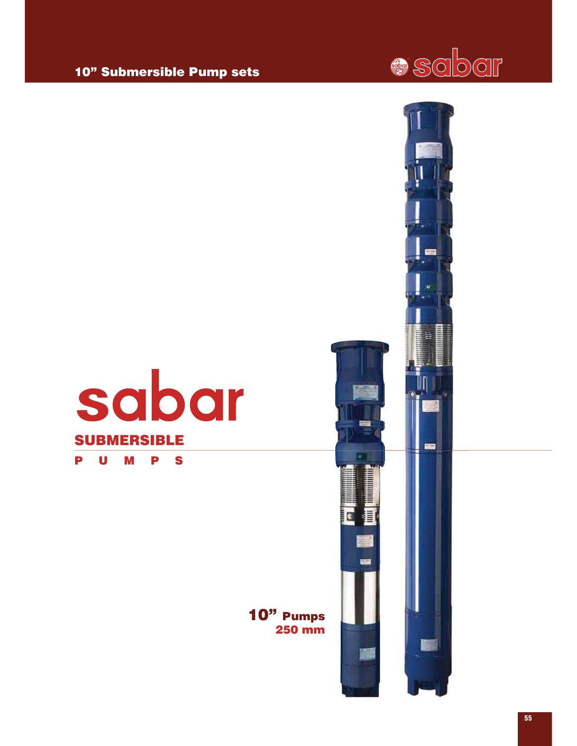## 10" Submersible Pump sets







10" Pumps 250 mm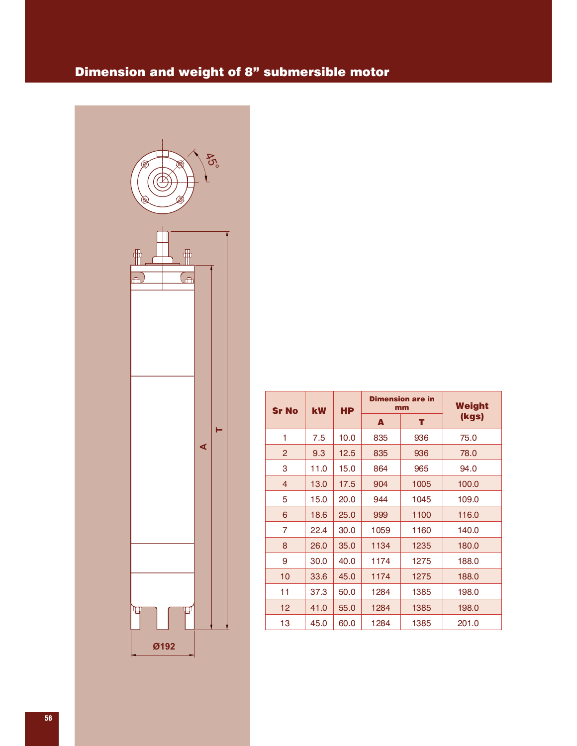## Dimension and weight of 8" submersible motor



| <b>Sr No</b>   | <b>kW</b> | <b>HP</b> |      | <b>Dimension are in</b><br>mm | Weight |  |
|----------------|-----------|-----------|------|-------------------------------|--------|--|
|                |           |           | A    | т                             | (kgs)  |  |
| 1              | 7.5       | 10.0      | 835  | 936                           | 75.0   |  |
| $\overline{2}$ | 9.3       | 12.5      | 835  | 936                           | 78.0   |  |
| 3              | 11.0      | 15.0      | 864  | 965                           | 94.0   |  |
| 4              | 13.0      | 17.5      | 904  | 1005                          | 100.0  |  |
| 5              | 15.0      | 20.0      | 944  | 1045                          | 109.0  |  |
| 6              | 18.6      | 25.0      | 999  | 1100                          | 116.0  |  |
| 7              | 22.4      | 30.0      | 1059 | 1160                          | 140.0  |  |
| 8              | 26.0      | 35.0      | 1134 | 1235                          | 180.0  |  |
| 9              | 30.0      | 40.0      | 1174 | 1275                          | 188.0  |  |
| 10             | 33.6      | 45.0      | 1174 | 1275                          | 188.0  |  |
| 11             | 37.3      | 50.0      | 1284 | 1385                          | 198.0  |  |
| 12             | 41.0      | 55.0      | 1284 | 1385                          | 198.0  |  |
| 13             | 45.0      | 60.0      | 1284 | 1385                          | 201.0  |  |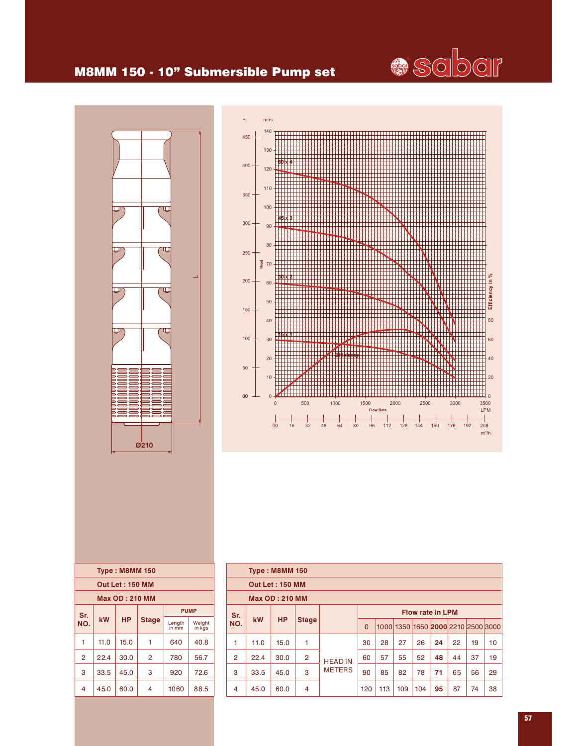

## M8MM 150 - 10" Submersible Pump set



|                       |      | <b>Type: M8MM 150</b> |              |                 |                  |  |  |  |  |
|-----------------------|------|-----------------------|--------------|-----------------|------------------|--|--|--|--|
| Out Let: 150 MM       |      |                       |              |                 |                  |  |  |  |  |
| <b>Max OD: 210 MM</b> |      |                       |              |                 |                  |  |  |  |  |
| Sr.                   |      |                       |              |                 | <b>PUMP</b>      |  |  |  |  |
| NO.                   | kW   | <b>HP</b>             | <b>Stage</b> | Length<br>in mm | Weight<br>in kgs |  |  |  |  |
| 1                     | 11.0 | 15.0                  | 1            | 640             | 40.8             |  |  |  |  |
| 2                     | 22.4 | 30.0                  | 2            | 780             | 56.7             |  |  |  |  |
| 3                     | 33.5 | 45.0                  | 3            | 920             | 72.6             |  |  |  |  |
| 4                     | 45.0 | 60.0                  | 4            | 1060            | 88.5             |  |  |  |  |



|                |           | <b>Type: M8MM 150</b>  |                |                |                |     |     |     |                         |    |    |                                    |
|----------------|-----------|------------------------|----------------|----------------|----------------|-----|-----|-----|-------------------------|----|----|------------------------------------|
|                |           | <b>Out Let: 150 MM</b> |                |                |                |     |     |     |                         |    |    |                                    |
|                |           | <b>Max OD: 210 MM</b>  |                |                |                |     |     |     |                         |    |    |                                    |
| Sr.            |           |                        |                |                |                |     |     |     | <b>Flow rate in LPM</b> |    |    |                                    |
| NO.            | <b>kW</b> | <b>HP</b>              | <b>Stage</b>   |                | $\overline{0}$ |     |     |     |                         |    |    | 1000 1350 1650 2000 2210 2500 3000 |
| 1              | 11.0      | 15.0                   | 1              |                | 30             | 28  | 27  | 26  | 24                      | 22 | 19 | 10                                 |
| $\overline{2}$ | 22.4      | 30.0                   | $\overline{2}$ | <b>HEAD IN</b> | 60             | 57  | 55  | 52  | 48                      | 44 | 37 | 19                                 |
| 3              | 33.5      | 45.0                   | 3              | <b>METERS</b>  | 90             | 85  | 82  | 78  | 71                      | 65 | 56 | 29                                 |
| $\overline{4}$ | 45.0      | 60.0                   | 4              |                | 120            | 113 | 109 | 104 | 95                      | 87 | 74 | 38                                 |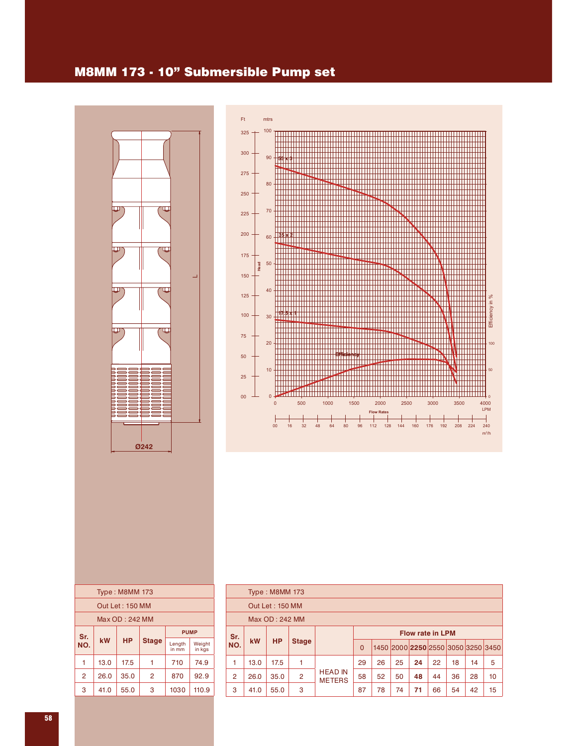## M8MM 173 - 10" Submersible Pump set





|                    |      | <b>Type: M8MM 173</b> |                |                 |                  |  |  |  |  |
|--------------------|------|-----------------------|----------------|-----------------|------------------|--|--|--|--|
| Out Let: 150 MM    |      |                       |                |                 |                  |  |  |  |  |
| Max OD: 242 MM     |      |                       |                |                 |                  |  |  |  |  |
| <b>PUMP</b><br>Sr. |      |                       |                |                 |                  |  |  |  |  |
| NO.                | kW   | <b>HP</b>             | <b>Stage</b>   | Length<br>in mm | Weight<br>in kgs |  |  |  |  |
| 1                  | 13.0 | 17.5                  |                | 710             | 74.9             |  |  |  |  |
| $\overline{2}$     | 26.0 | 35.0                  | $\overline{2}$ | 870             | 92.9             |  |  |  |  |
| 3                  | 41.0 | 55.0                  | 3              | 1030            | 110.9            |  |  |  |  |
|                    |      |                       |                |                 |                  |  |  |  |  |

|                | <b>Type: M8MM 173</b> |                 |                |                                 |                |    |                                    |                         |    |    |    |    |
|----------------|-----------------------|-----------------|----------------|---------------------------------|----------------|----|------------------------------------|-------------------------|----|----|----|----|
|                |                       | Out Let: 150 MM |                |                                 |                |    |                                    |                         |    |    |    |    |
|                | Max OD: 242 MM        |                 |                |                                 |                |    |                                    |                         |    |    |    |    |
| Sr.            |                       |                 |                |                                 |                |    |                                    | <b>Flow rate in LPM</b> |    |    |    |    |
| NO.            | <b>kW</b>             | <b>HP</b>       | <b>Stage</b>   |                                 | $\overline{0}$ |    | 1450 2000 2250 2550 3050 3250 3450 |                         |    |    |    |    |
| 1              | 13.0                  | 17.5            | 1              |                                 | 29             | 26 | 25                                 | 24                      | 22 | 18 | 14 | 5  |
| $\overline{2}$ | 26.0                  | 35.0            | $\overline{2}$ | <b>HEAD IN</b><br><b>METERS</b> | 58             | 52 | 50                                 | 48                      | 44 | 36 | 28 | 10 |
| 3              | 41.0                  | 55.0            | 3              |                                 | 87             | 78 | 74                                 | 71                      | 66 | 54 | 42 | 15 |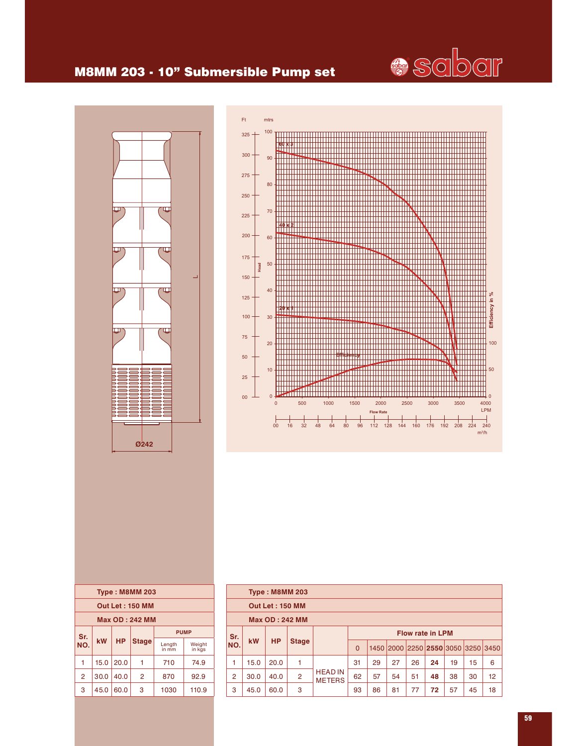## M8MM 203 - 10" Submersible Pump set





|                        | <b>Type: M8MM 203</b>              |           |                |                 |                  |  |  |  |  |  |
|------------------------|------------------------------------|-----------|----------------|-----------------|------------------|--|--|--|--|--|
| <b>Out Let: 150 MM</b> |                                    |           |                |                 |                  |  |  |  |  |  |
| <b>Max OD: 242 MM</b>  |                                    |           |                |                 |                  |  |  |  |  |  |
| Sr.                    | <b>PUMP</b>                        |           |                |                 |                  |  |  |  |  |  |
| NO.                    | kW                                 | <b>HP</b> | <b>Stage</b>   | Length<br>in mm | Weight<br>in kas |  |  |  |  |  |
| 1                      | 15.0                               | 20.0      | 1              | 710             | 74.9             |  |  |  |  |  |
| $\overline{2}$         | 30.0                               | 40.0      | $\overline{2}$ | 92.9<br>870     |                  |  |  |  |  |  |
| 3                      | 45.0<br>3<br>60.0<br>1030<br>110.9 |           |                |                 |                  |  |  |  |  |  |
|                        |                                    |           |                |                 |                  |  |  |  |  |  |

|                |                       | <b>Type: M8MM 203</b>  |                |                                 |          |    |    |    |                         |    |    |                                    |
|----------------|-----------------------|------------------------|----------------|---------------------------------|----------|----|----|----|-------------------------|----|----|------------------------------------|
|                |                       | <b>Out Let: 150 MM</b> |                |                                 |          |    |    |    |                         |    |    |                                    |
|                | <b>Max OD: 242 MM</b> |                        |                |                                 |          |    |    |    |                         |    |    |                                    |
| Sr.            |                       |                        |                |                                 |          |    |    |    | <b>Flow rate in LPM</b> |    |    |                                    |
| NO.            | kW                    | <b>HP</b>              | <b>Stage</b>   |                                 | $\Omega$ |    |    |    |                         |    |    | 1450 2000 2250 2550 3050 3250 3450 |
| 1              | 15.0                  | 20.0                   | 1              |                                 | 31       | 29 | 27 | 26 | 24                      | 19 | 15 | 6                                  |
| $\overline{2}$ | 30.0                  | 40.0                   | $\overline{2}$ | <b>HEAD IN</b><br><b>METERS</b> | 62       | 57 | 54 | 51 | 48                      | 38 | 30 | 12                                 |
| 3              | 45.0                  | 60.0                   | 3              |                                 | 93       | 86 | 81 | 77 | 72                      | 57 | 45 | 18                                 |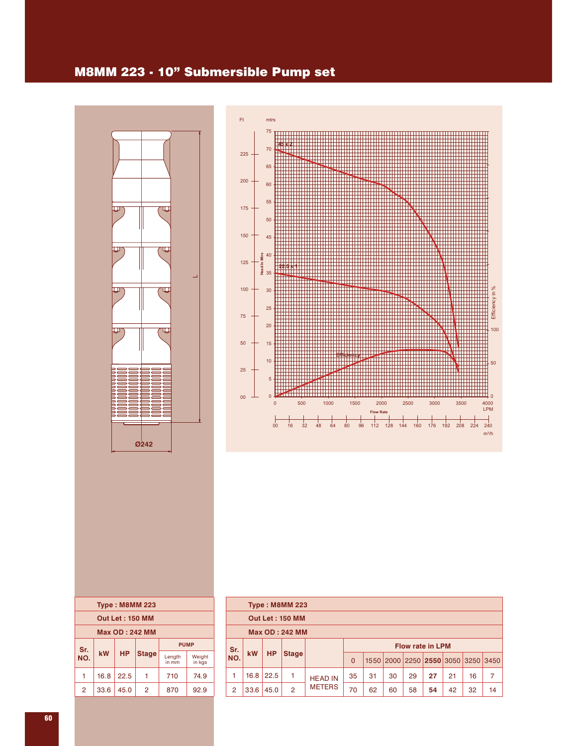## M8MM 223 - 10" Submersible Pump set





| <b>Type: M8MM 223</b>  |      |      |              |                 |                  |  |  |  |  |
|------------------------|------|------|--------------|-----------------|------------------|--|--|--|--|
| <b>Out Let: 150 MM</b> |      |      |              |                 |                  |  |  |  |  |
| <b>Max OD: 242 MM</b>  |      |      |              |                 |                  |  |  |  |  |
| Sr.                    |      |      | <b>PUMP</b>  |                 |                  |  |  |  |  |
| NO.                    | kW   | HP   | <b>Stage</b> | Length<br>in mm | Weight<br>in kas |  |  |  |  |
| 1                      | 16.8 | 22.5 | 1            | 710             | 74.9             |  |  |  |  |
| $\overline{2}$         | 33.6 | 45.0 | 2            | 870             | 92.9             |  |  |  |  |
|                        |      |      |              |                 |                  |  |  |  |  |

| <b>Type: M8MM 223</b> |           |           |                        |                |                |                         |    |    |    |                                    |    |    |  |
|-----------------------|-----------|-----------|------------------------|----------------|----------------|-------------------------|----|----|----|------------------------------------|----|----|--|
|                       |           |           | <b>Out Let: 150 MM</b> |                |                |                         |    |    |    |                                    |    |    |  |
| <b>Max OD: 242 MM</b> |           |           |                        |                |                |                         |    |    |    |                                    |    |    |  |
| Sr.                   |           |           |                        |                |                | <b>Flow rate in LPM</b> |    |    |    |                                    |    |    |  |
| NO.                   | <b>kW</b> | <b>HP</b> | <b>Stage</b>           |                | $\overline{0}$ |                         |    |    |    | 1550 2000 2250 2550 3050 3250 3450 |    |    |  |
| 1                     | 16.8      | 22.5      | 1                      | <b>HEAD IN</b> | 35             | 31                      | 30 | 29 | 27 | 21                                 | 16 | 7  |  |
| $\overline{2}$        | 33.6      | 45.0      | 2                      | <b>METERS</b>  | 70             | 62                      | 60 | 58 | 54 | 42                                 | 32 | 14 |  |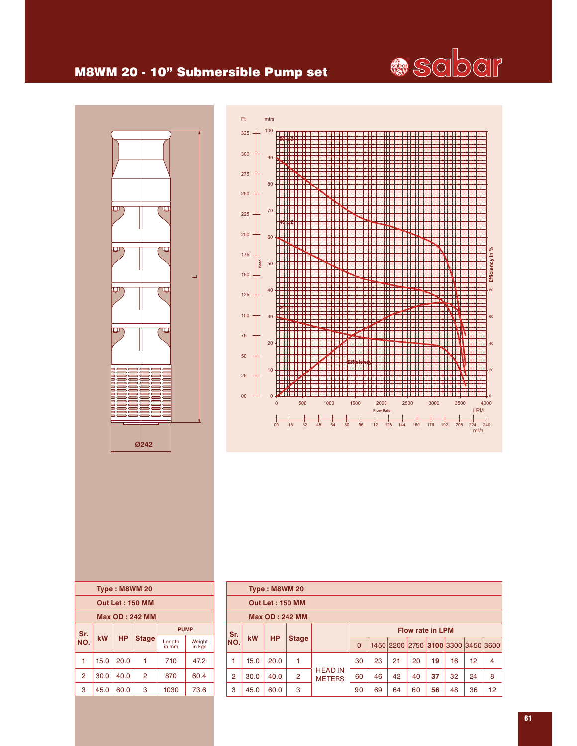## M8WM 20 - 10" Submersible Pump set





| Type: M8WM 20          |                                   |           |              |                 |                  |  |  |  |  |  |  |
|------------------------|-----------------------------------|-----------|--------------|-----------------|------------------|--|--|--|--|--|--|
| <b>Out Let: 150 MM</b> |                                   |           |              |                 |                  |  |  |  |  |  |  |
| <b>Max OD: 242 MM</b>  |                                   |           |              |                 |                  |  |  |  |  |  |  |
|                        | <b>PUMP</b><br>Sr.                |           |              |                 |                  |  |  |  |  |  |  |
| NO.                    | kW                                | <b>HP</b> | <b>Stage</b> | Length<br>in mm | Weight<br>in kgs |  |  |  |  |  |  |
| 1                      | 15.0                              | 20.0      |              | 710             | 47.2             |  |  |  |  |  |  |
| $\overline{2}$         | 30.0                              | 40.0      | 2            | 870             | 60.4             |  |  |  |  |  |  |
| 3                      | 3<br>45.0<br>60.0<br>1030<br>73.6 |           |              |                 |                  |  |  |  |  |  |  |

|                |                                 | Type: M8WM 20          |                       |                                 |                         |    |    |    |    |    |    |                                    |
|----------------|---------------------------------|------------------------|-----------------------|---------------------------------|-------------------------|----|----|----|----|----|----|------------------------------------|
|                |                                 | <b>Out Let: 150 MM</b> |                       |                                 |                         |    |    |    |    |    |    |                                    |
|                |                                 |                        | <b>Max OD: 242 MM</b> |                                 |                         |    |    |    |    |    |    |                                    |
| Sr.            |                                 |                        |                       |                                 | <b>Flow rate in LPM</b> |    |    |    |    |    |    |                                    |
| NO.            | <b>HP</b><br>kW<br><b>Stage</b> |                        |                       |                                 | $\Omega$                |    |    |    |    |    |    | 1450 2200 2750 3100 3300 3450 3600 |
| 1              | 15.0                            | 20.0                   | 1                     |                                 | 30                      | 23 | 21 | 20 | 19 | 16 | 12 | 4                                  |
| $\overline{2}$ | 30.0                            | 40.0                   | $\overline{2}$        | <b>HEAD IN</b><br><b>METERS</b> | 60                      | 46 | 42 | 40 | 37 | 32 | 24 | 8                                  |
| 3              | 45.0                            | 60.0                   | 3                     |                                 | 90                      | 69 | 64 | 60 | 56 | 48 | 36 | 12                                 |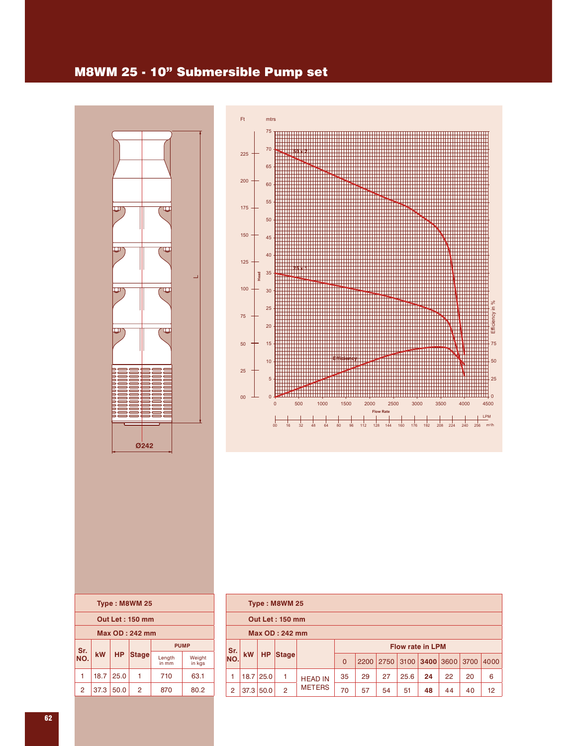## M8WM 25 - 10" Submersible Pump set





|                | Type: M8WM 25          |           |                |                 |                  |  |  |  |  |  |
|----------------|------------------------|-----------|----------------|-----------------|------------------|--|--|--|--|--|
|                | <b>Out Let: 150 mm</b> |           |                |                 |                  |  |  |  |  |  |
| Max OD: 242 mm |                        |           |                |                 |                  |  |  |  |  |  |
| Sr.            |                        |           |                | <b>PUMP</b>     |                  |  |  |  |  |  |
| NO.            | kW                     | <b>HP</b> | <b>Stage</b>   | Length<br>in mm | Weight<br>in kas |  |  |  |  |  |
| 1              | 18.7                   | 25.0      |                | 710             | 63.1             |  |  |  |  |  |
| $\overline{2}$ | 37.3                   | 50.0      | $\overline{2}$ | 870             | 80.2             |  |  |  |  |  |
|                |                        |           |                |                 |                  |  |  |  |  |  |

|                | Type: M8WM 25          |             |                |                |                         |      |      |      |                  |    |      |      |  |  |
|----------------|------------------------|-------------|----------------|----------------|-------------------------|------|------|------|------------------|----|------|------|--|--|
|                | <b>Out Let: 150 mm</b> |             |                |                |                         |      |      |      |                  |    |      |      |  |  |
|                | Max OD: 242 mm         |             |                |                |                         |      |      |      |                  |    |      |      |  |  |
| Sr.            |                        |             |                |                | <b>Flow rate in LPM</b> |      |      |      |                  |    |      |      |  |  |
| NO.            | <b>kW</b>              | <b>HP</b>   | <b>Stage</b>   |                | $\Omega$                | 2200 | 2750 |      | $3100$ 3400 3600 |    | 3700 | 4000 |  |  |
| 1              |                        | $18.7$ 25.0 | 1              | <b>HEAD IN</b> | 35                      | 29   | 27   | 25.6 | 24               | 22 | 20   | 6    |  |  |
| $\overline{2}$ | 37.3                   | 50.0        | $\overline{2}$ | <b>METERS</b>  | 70                      | 57   | 54   | 51   | 48               | 44 | 40   | 12   |  |  |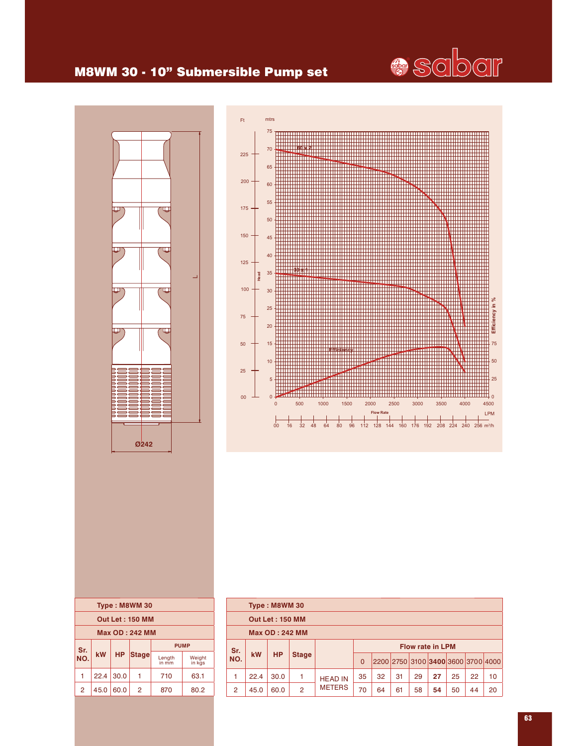

## M8WM 30 - 10" Submersible Pump set





|            |                       |           | Type: M8WM 30          |                 |                  |  |  |  |
|------------|-----------------------|-----------|------------------------|-----------------|------------------|--|--|--|
|            |                       |           | <b>Out Let: 150 MM</b> |                 |                  |  |  |  |
|            | <b>Max OD: 242 MM</b> |           |                        |                 |                  |  |  |  |
|            |                       |           |                        | <b>PUMP</b>     |                  |  |  |  |
| Sr.<br>NO. | kW                    | <b>HP</b> | <b>Stage</b>           | Length<br>in mm | Weight<br>in kas |  |  |  |
|            | 22.4                  | 30.0      |                        | 710             | 63.1             |  |  |  |
| 2          | 45.0                  | 60.0      | $\overline{2}$         | 870             | 80.2             |  |  |  |
|            |                       |           |                        |                 |                  |  |  |  |

|                  | Type: M8WM 30          |           |                |                |                         |    |    |    |    |    |    |                                    |  |
|------------------|------------------------|-----------|----------------|----------------|-------------------------|----|----|----|----|----|----|------------------------------------|--|
|                  | <b>Out Let: 150 MM</b> |           |                |                |                         |    |    |    |    |    |    |                                    |  |
|                  | <b>Max OD: 242 MM</b>  |           |                |                |                         |    |    |    |    |    |    |                                    |  |
|                  |                        |           |                |                | <b>Flow rate in LPM</b> |    |    |    |    |    |    |                                    |  |
| Sr.<br>NO.<br>kW |                        | <b>HP</b> | <b>Stage</b>   |                | $\overline{0}$          |    |    |    |    |    |    | 2200 2750 3100 3400 3600 3700 4000 |  |
| 1                | 22.4                   | 30.0      | 1              | <b>HEAD IN</b> | 35                      | 32 | 31 | 29 | 27 | 25 | 22 | 10                                 |  |
| 2                | 45.0                   | 60.0      | $\overline{2}$ | <b>METERS</b>  | 70                      | 64 | 61 | 58 | 54 | 50 | 44 | 20                                 |  |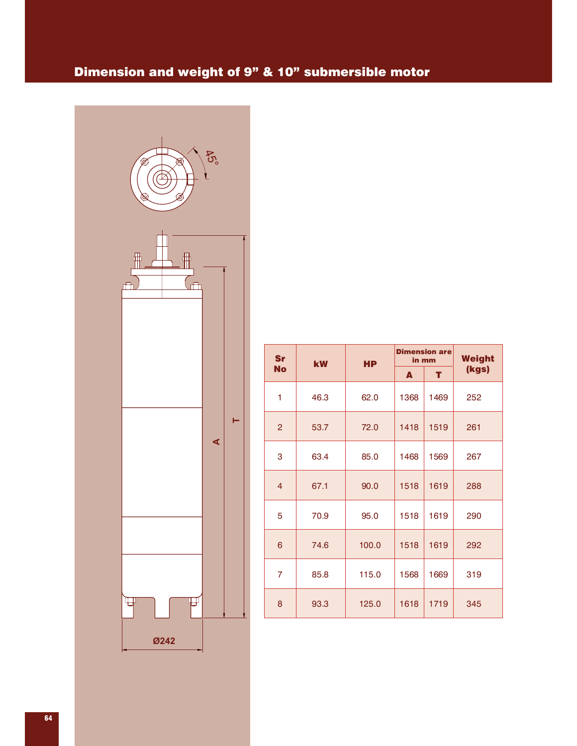## Dimension and weight of 9" & 10" submersible motor



| Sr             | kW   | <b>HP</b> | in mm | <b>Dimension are</b> | <b>Weight</b> |
|----------------|------|-----------|-------|----------------------|---------------|
| <b>No</b>      |      |           | A     | т                    | (kgs)         |
| 1              | 46.3 | 62.0      | 1368  | 1469                 | 252           |
| $\overline{2}$ | 53.7 | 72.0      | 1418  | 1519                 | 261           |
| 3              | 63.4 | 85.0      | 1468  | 1569                 | 267           |
| $\overline{4}$ | 67.1 | 90.0      | 1518  | 1619                 | 288           |
| 5              | 70.9 | 95.0      | 1518  | 1619                 | 290           |
| 6              | 74.6 | 100.0     | 1518  | 1619                 | 292           |
| 7              | 85.8 | 115.0     | 1568  | 1669                 | 319           |
| 8              | 93.3 | 125.0     | 1618  | 1719                 | 345           |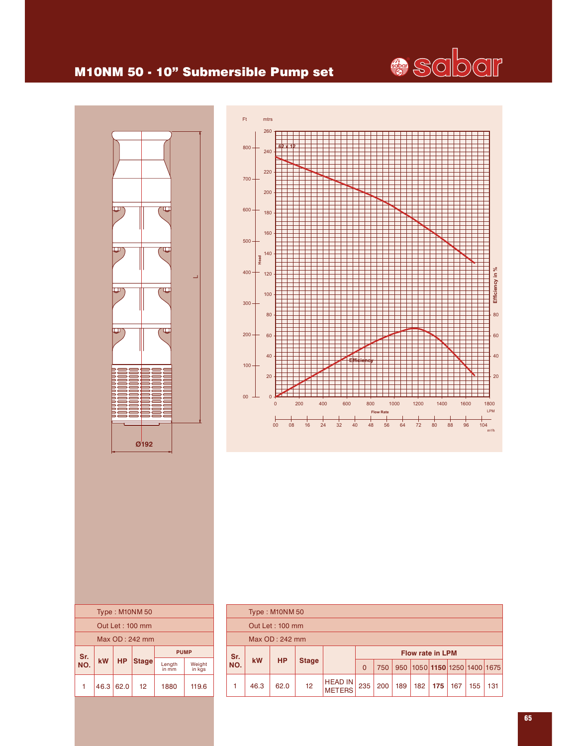## M10NM 50 - 10" Submersible Pump set



|     | Type: M10NM 50 |           |                 |                 |                  |  |  |  |  |  |
|-----|----------------|-----------|-----------------|-----------------|------------------|--|--|--|--|--|
|     |                |           | Out Let: 100 mm |                 |                  |  |  |  |  |  |
|     |                |           | Max OD: 242 mm  |                 |                  |  |  |  |  |  |
| Sr. |                |           |                 | <b>PUMP</b>     |                  |  |  |  |  |  |
| NO. | <b>kW</b>      | <b>HP</b> | <b>Stage</b>    | Length<br>in mm | Weight<br>in kgs |  |  |  |  |  |
|     | 46.3           | 62.0      | 12              | 1880            | 119.6            |  |  |  |  |  |



|     |                        | Type: M10NM 50  |    |                                 |                         |     |     |     |                                        |     |     |     |
|-----|------------------------|-----------------|----|---------------------------------|-------------------------|-----|-----|-----|----------------------------------------|-----|-----|-----|
|     |                        | Out Let: 100 mm |    |                                 |                         |     |     |     |                                        |     |     |     |
|     | Max OD: 242 mm         |                 |    |                                 |                         |     |     |     |                                        |     |     |     |
|     | Sr.<br><b>HP</b><br>kW |                 |    |                                 | <b>Flow rate in LPM</b> |     |     |     |                                        |     |     |     |
| NO. |                        | <b>Stage</b>    |    | $\overline{0}$                  | 750                     |     |     |     | 950   1050   1150   1250   1400   1675 |     |     |     |
|     | 46.3                   | 62.0            | 12 | <b>HEAD IN</b><br><b>METERS</b> | 235                     | 200 | 189 | 182 | 175                                    | 167 | 155 | 131 |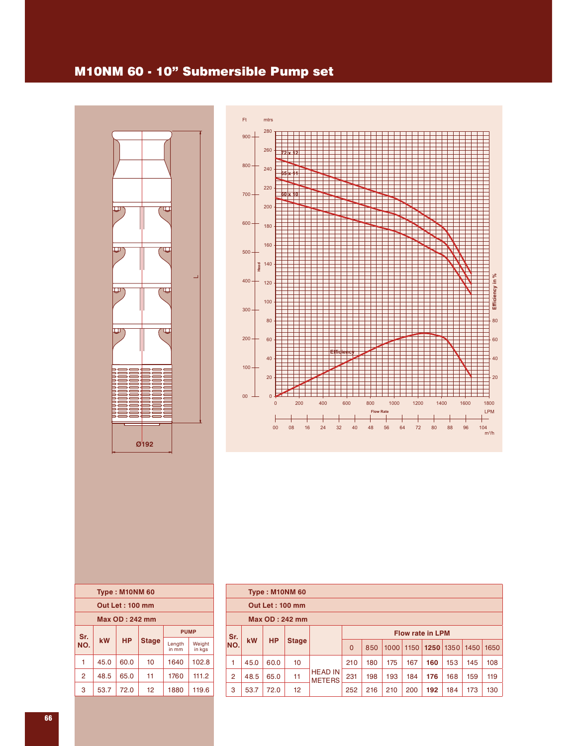### M10NM 60 - 10" Submersible Pump set





|                |      | Type: M10NM 60  |              |                 |                  |
|----------------|------|-----------------|--------------|-----------------|------------------|
|                |      | Out Let: 100 mm |              |                 |                  |
|                |      | Max OD: 242 mm  |              |                 |                  |
| Sr.            |      |                 |              |                 | <b>PUMP</b>      |
| NO.            | kW   | <b>HP</b>       | <b>Stage</b> | Length<br>in mm | Weight<br>in kgs |
| 1              | 45.0 | 60.0            | 10           | 1640            | 102.8            |
| $\overline{2}$ | 48.5 | 65.0            | 11           | 1760            | 111.2            |
| 3              | 53.7 | 72.0            | 12           | 1880            | 119.6            |
|                |      |                 |              |                 |                  |

|                | Type: M10NM 60  |           |              |                                 |          |     |      |      |                         |      |      |      |  |  |
|----------------|-----------------|-----------|--------------|---------------------------------|----------|-----|------|------|-------------------------|------|------|------|--|--|
|                | Out Let: 100 mm |           |              |                                 |          |     |      |      |                         |      |      |      |  |  |
|                | Max OD: 242 mm  |           |              |                                 |          |     |      |      |                         |      |      |      |  |  |
| Sr.            |                 |           |              |                                 |          |     |      |      | <b>Flow rate in LPM</b> |      |      |      |  |  |
| NO.            | <b>kW</b>       | <b>HP</b> | <b>Stage</b> |                                 | $\Omega$ | 850 | 1000 | 1150 | 1250                    | 1350 | 1450 | 1650 |  |  |
| 1              | 45.0            | 60.0      | 10           |                                 | 210      | 180 | 175  | 167  | 160                     | 153  | 145  | 108  |  |  |
| $\overline{2}$ | 48.5            | 65.0      | 11           | <b>HEAD IN</b><br><b>METERS</b> | 231      | 198 | 193  | 184  | 176                     | 168  | 159  | 119  |  |  |
| 3              | 53.7            | 72.0      | 12           |                                 | 252      | 216 | 210  | 200  | 192                     | 184  | 173  | 130  |  |  |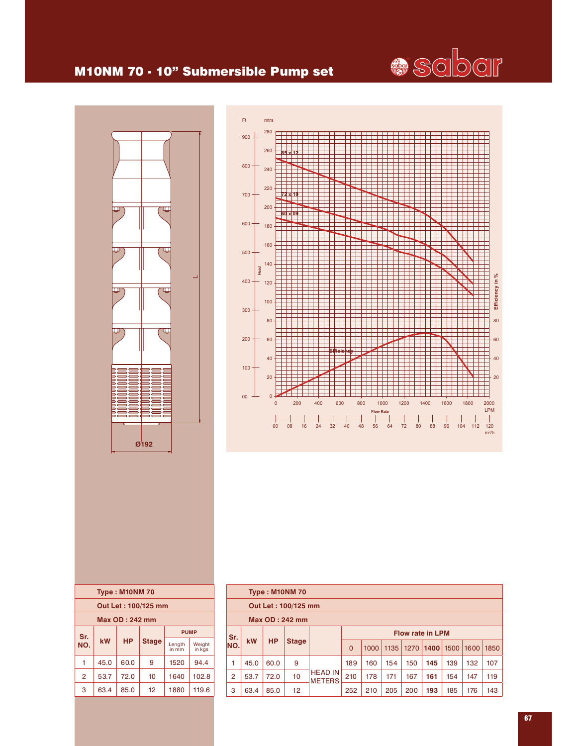

## M10NM 70 - 10" Submersible Pump set





|                |      | <b>Type: M10NM70</b> |                     |                 |                  |
|----------------|------|----------------------|---------------------|-----------------|------------------|
|                |      |                      | Out Let: 100/125 mm |                 |                  |
|                |      | Max OD: 242 mm       |                     |                 |                  |
|                |      | <b>PUMP</b>          |                     |                 |                  |
| Sr.<br>NO.     | kW   | <b>HP</b>            | <b>Stage</b>        | Length<br>in mm | Weight<br>in kgs |
| 1              | 45.0 | 60.0                 | 9                   | 1520            | 94.4             |
| $\overline{2}$ | 53.7 | 72.0                 | 10                  | 1640            | 102.8            |
| 3              | 63.4 | 85.0                 | 12                  | 1880            | 119.6            |
|                |      |                      |                     |                 |                  |

|                | <b>Type: M10NM70</b> |           |              |                                 |                         |      |      |     |                    |     |      |      |  |
|----------------|----------------------|-----------|--------------|---------------------------------|-------------------------|------|------|-----|--------------------|-----|------|------|--|
|                | Out Let: 100/125 mm  |           |              |                                 |                         |      |      |     |                    |     |      |      |  |
|                | Max OD: 242 mm       |           |              |                                 |                         |      |      |     |                    |     |      |      |  |
|                |                      |           |              |                                 | <b>Flow rate in LPM</b> |      |      |     |                    |     |      |      |  |
| Sr.<br>INO.    | <b>kW</b>            | <b>HP</b> | <b>Stage</b> |                                 | $\Omega$                | 1000 | 1135 |     | 1270   1400   1500 |     | 1600 | 1850 |  |
| 1              | 45.0                 | 60.0      | 9            |                                 | 189                     | 160  | 154  | 150 | 145                | 139 | 132  | 107  |  |
| $\overline{2}$ | 53.7                 | 72.0      | 10           | <b>HEAD IN</b><br><b>METERS</b> | 210                     | 178  | 171  | 167 | 161                | 154 | 147  | 119  |  |
| 3              | 63.4                 | 85.0      | 12           |                                 | 252                     | 210  | 205  | 200 | 193                | 185 | 176  | 143  |  |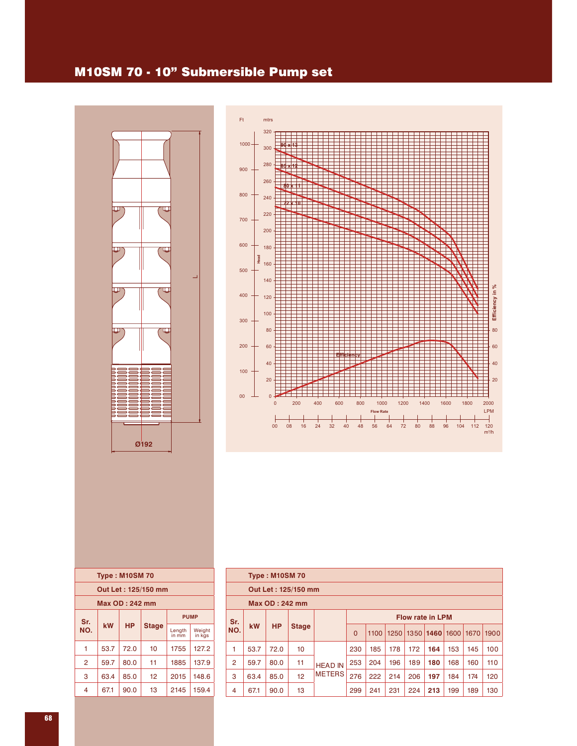## M10SM 70 - 10" Submersible Pump set





|     | <b>Type: M10SM70</b>  |           |                     |                 |                  |
|-----|-----------------------|-----------|---------------------|-----------------|------------------|
|     |                       |           | Out Let: 125/150 mm |                 |                  |
|     | <b>Max OD: 242 mm</b> |           |                     |                 |                  |
| Sr. |                       |           |                     | <b>PUMP</b>     |                  |
| NO. | kW                    | <b>HP</b> | <b>Stage</b>        | Length<br>in mm | Weight<br>in kgs |
| 1   | 53.7                  | 72.0      | 10                  | 1755            | 127.2            |
| 2   | 59.7                  | 80.0      | 11                  | 1885            | 137.9            |
| 3   | 63.4                  | 85.0      | 12                  | 2015            | 148.6            |
| 4   | 67.1                  | 90.0      | 13                  | 2145            | 159.4            |
|     |                       |           |                     |                 |                  |

|                | <b>Type: M10SM70</b> |           |              |                |          |      |      |     |                         |                |      |      |  |
|----------------|----------------------|-----------|--------------|----------------|----------|------|------|-----|-------------------------|----------------|------|------|--|
|                | Out Let: 125/150 mm  |           |              |                |          |      |      |     |                         |                |      |      |  |
|                | Max OD: 242 mm       |           |              |                |          |      |      |     |                         |                |      |      |  |
| Sr.            |                      |           |              |                |          |      |      |     | <b>Flow rate in LPM</b> |                |      |      |  |
| NO.            | <b>kW</b>            | <b>HP</b> | <b>Stage</b> |                | $\Omega$ | 1100 | 1250 |     |                         | 1350 1460 1600 | 1670 | 1900 |  |
| 1              | 53.7                 | 72.0      | 10           |                | 230      | 185  | 178  | 172 | 164                     | 153            | 145  | 100  |  |
| $\overline{2}$ | 59.7                 | 80.0      | 11           | <b>HEAD IN</b> | 253      | 204  | 196  | 189 | 180                     | 168            | 160  | 110  |  |
| 3              | 63.4                 | 85.0      | 12           | <b>METERS</b>  | 276      | 222  | 214  | 206 | 197                     | 184            | 174  | 120  |  |
| 4              | 67.1                 | 90.0      | 13           |                | 299      | 241  | 231  | 224 | 213                     | 199            | 189  | 130  |  |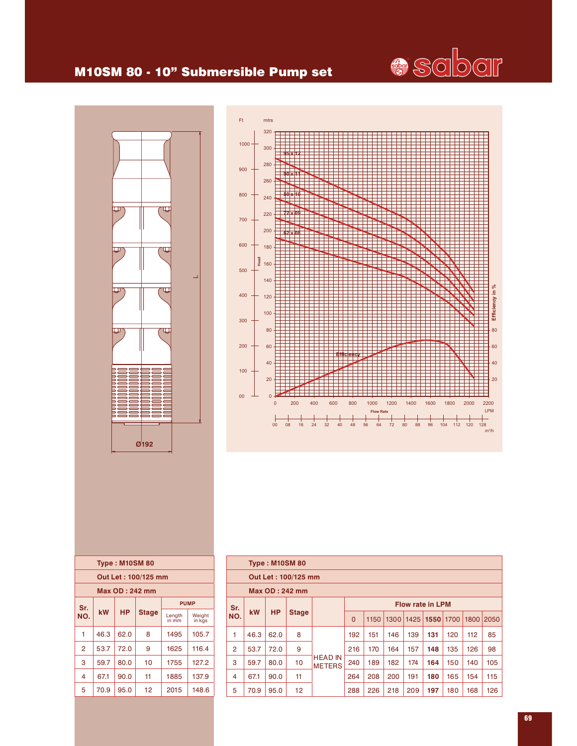

## M10SM 80 - 10" Submersible Pump set





|     |      | <b>Type: M10SM 80</b> |                     |                 |                  |
|-----|------|-----------------------|---------------------|-----------------|------------------|
|     |      |                       | Out Let: 100/125 mm |                 |                  |
|     |      | Max OD : 242 mm       |                     |                 |                  |
| Sr. |      |                       |                     |                 | <b>PUMP</b>      |
| NO. | kW   | НP                    | <b>Stage</b>        | Length<br>in mm | Weight<br>in kgs |
| 1   | 46.3 | 62.0                  | 8                   | 1495            | 105.7            |
| 2   | 53.7 | 72.0                  | 9                   | 1625            | 116.4            |
| 3   | 59.7 | 80.0                  | 10                  | 1755            | 127.2            |
| 4   | 67.1 | 90.0                  | 11                  | 1885            | 137.9            |
| 5   | 70.9 | 95.0                  | 12                  | 2015            | 148.6            |
|     |      |                       |                     |                 |                  |

|                |           | <b>Type: M10SM 80</b> |                     |                                 |          |      |      |      |                         |     |      |      |
|----------------|-----------|-----------------------|---------------------|---------------------------------|----------|------|------|------|-------------------------|-----|------|------|
|                |           |                       | Out Let: 100/125 mm |                                 |          |      |      |      |                         |     |      |      |
|                |           |                       | Max OD: 242 mm      |                                 |          |      |      |      |                         |     |      |      |
| Sr.            |           |                       |                     |                                 |          |      |      |      | <b>Flow rate in LPM</b> |     |      |      |
| NO.            | <b>kW</b> | <b>HP</b>             | <b>Stage</b>        |                                 | $\Omega$ | 1150 | 1300 | 1425 | 1550 1700               |     | 1800 | 2050 |
| 1              | 46.3      | 62.0                  | 8                   |                                 | 192      | 151  | 146  | 139  | 131                     | 120 | 112  | 85   |
| $\overline{2}$ | 53.7      | 72.0                  | 9                   |                                 | 216      | 170  | 164  | 157  | 148                     | 135 | 126  | 98   |
| 3              | 59.7      | 80.0                  | 10                  | <b>HEAD IN</b><br><b>METERS</b> | 240      | 189  | 182  | 174  | 164                     | 150 | 140  | 105  |
| 4              | 67.1      | 90.0                  | 11                  |                                 | 264      | 208  | 200  | 191  | 180                     | 165 | 154  | 115  |
| 5              | 70.9      | 95.0                  | 12                  |                                 | 288      | 226  | 218  | 209  | 197                     | 180 | 168  | 126  |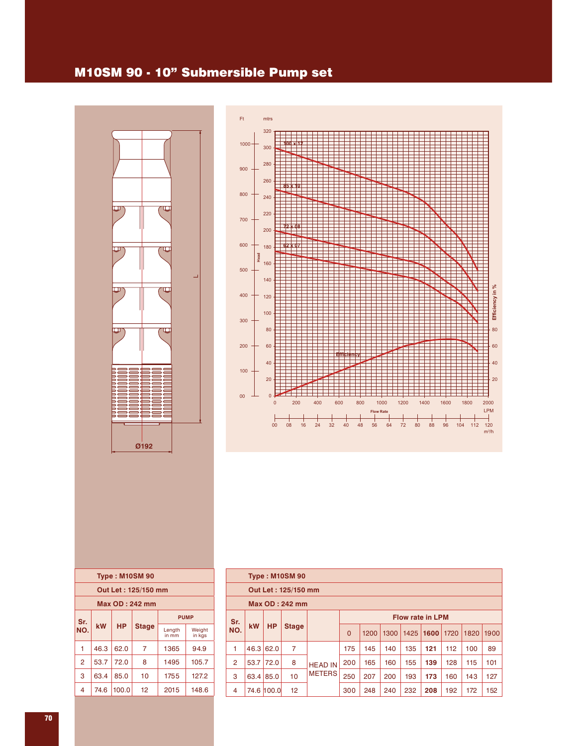#### M10SM 90 - 10" Submersible Pump set





|                    |      |           | <b>Type: M10SM 90</b> |                 |                  |  |  |  |  |
|--------------------|------|-----------|-----------------------|-----------------|------------------|--|--|--|--|
|                    |      |           | Out Let: 125/150 mm   |                 |                  |  |  |  |  |
|                    |      |           | Max OD: 242 mm        |                 |                  |  |  |  |  |
| <b>PUMP</b><br>Sr. |      |           |                       |                 |                  |  |  |  |  |
| NO.                | kW   | <b>HP</b> | <b>Stage</b>          | Length<br>in mm | Weight<br>in kgs |  |  |  |  |
| 1                  | 46.3 | 62.0      | 7                     | 1365            | 94.9             |  |  |  |  |
| $\overline{2}$     | 53.7 | 72.0      | 8                     | 1495            | 105.7            |  |  |  |  |
| 3                  | 63.4 | 85.0      | 10                    | 1755            | 127.2            |  |  |  |  |
| 4                  | 74.6 | 100.0     | 12                    | 2015            | 148.6            |  |  |  |  |
|                    |      |           |                       |                 |                  |  |  |  |  |

|                                |                |             | <b>Type: M10SM 90</b> |                |                                                          |     |     |     |     |     |     |     |
|--------------------------------|----------------|-------------|-----------------------|----------------|----------------------------------------------------------|-----|-----|-----|-----|-----|-----|-----|
|                                |                |             | Out Let: 125/150 mm   |                |                                                          |     |     |     |     |     |     |     |
|                                | Max OD: 242 mm |             |                       |                |                                                          |     |     |     |     |     |     |     |
| <b>Flow rate in LPM</b><br>Sr. |                |             |                       |                |                                                          |     |     |     |     |     |     |     |
| NO.                            | <b>kW</b>      | <b>HP</b>   | <b>Stage</b>          |                | $\Omega$<br>1200<br>1300<br>1425<br>1600<br>1720<br>1820 |     |     |     |     |     |     |     |
| 1                              | 46.3           | 62.0        | 7                     |                | 175                                                      | 145 | 140 | 135 | 121 | 112 | 100 | 89  |
| $\overline{2}$                 |                | $53.7$ 72.0 | 8                     | <b>HEAD IN</b> | 200                                                      | 165 | 160 | 155 | 139 | 128 | 115 | 101 |
| 3                              | 63.4           | 85.0        | 10                    | <b>METERS</b>  | 250                                                      | 207 | 200 | 193 | 173 | 160 | 143 | 127 |
| 4                              |                | 74.6 100.0  | 12                    |                | 300                                                      | 248 | 240 | 232 | 208 | 192 | 172 | 152 |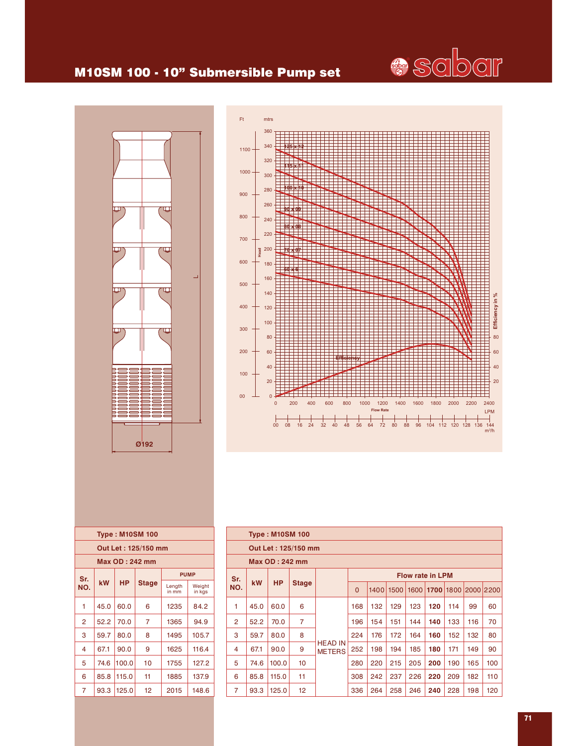## M10SM 100 - 10" Submersible Pump set





| Out Let: 125/150 mm |  |  |  |  |  |  |  |  |  |  |  |  |
|---------------------|--|--|--|--|--|--|--|--|--|--|--|--|
|                     |  |  |  |  |  |  |  |  |  |  |  |  |
|                     |  |  |  |  |  |  |  |  |  |  |  |  |
| Weight<br>in kas    |  |  |  |  |  |  |  |  |  |  |  |  |
| 84.2                |  |  |  |  |  |  |  |  |  |  |  |  |
| 94.9                |  |  |  |  |  |  |  |  |  |  |  |  |
| 105.7               |  |  |  |  |  |  |  |  |  |  |  |  |
| 116.4               |  |  |  |  |  |  |  |  |  |  |  |  |
| 127.2               |  |  |  |  |  |  |  |  |  |  |  |  |
| 137.9               |  |  |  |  |  |  |  |  |  |  |  |  |
| 148.6               |  |  |  |  |  |  |  |  |  |  |  |  |
|                     |  |  |  |  |  |  |  |  |  |  |  |  |

|                |      | <b>Type: M10SM 100</b> |                     |                                 |          |      |      |     |                         |      |      |      |
|----------------|------|------------------------|---------------------|---------------------------------|----------|------|------|-----|-------------------------|------|------|------|
|                |      |                        | Out Let: 125/150 mm |                                 |          |      |      |     |                         |      |      |      |
|                |      | Max OD: 242 mm         |                     |                                 |          |      |      |     |                         |      |      |      |
| Sr.            |      |                        |                     |                                 |          |      |      |     | <b>Flow rate in LPM</b> |      |      |      |
| NO.            | kW   | <b>HP</b>              | <b>Stage</b>        |                                 | $\Omega$ | 1400 | 1500 |     | 1600 1700               | 1800 | 2000 | 2200 |
| 1              | 45.0 | 60.0                   | 6                   |                                 | 168      | 132  | 129  | 123 | 120                     | 114  | 99   | 60   |
| $\overline{2}$ | 52.2 | 70.0                   | $\overline{7}$      |                                 | 196      | 154  | 151  | 144 | 140                     | 133  | 116  | 70   |
| 3              | 59.7 | 80.0                   | 8                   |                                 | 224      | 176  | 172  | 164 | 160                     | 152  | 132  | 80   |
| 4              | 67.1 | 90.0                   | 9                   | <b>HEAD IN</b><br><b>METERS</b> | 252      | 198  | 194  | 185 | 180                     | 171  | 149  | 90   |
| 5              | 74.6 | 100.0                  | 10                  |                                 | 280      | 220  | 215  | 205 | 200                     | 190  | 165  | 100  |
| 6              | 85.8 | 115.0                  | 11                  |                                 | 308      | 242  | 237  | 226 | 220                     | 209  | 182  | 110  |
| $\overline{7}$ | 93.3 | 125.0                  | 12                  |                                 | 336      | 264  | 258  | 246 | 240                     | 228  | 198  | 120  |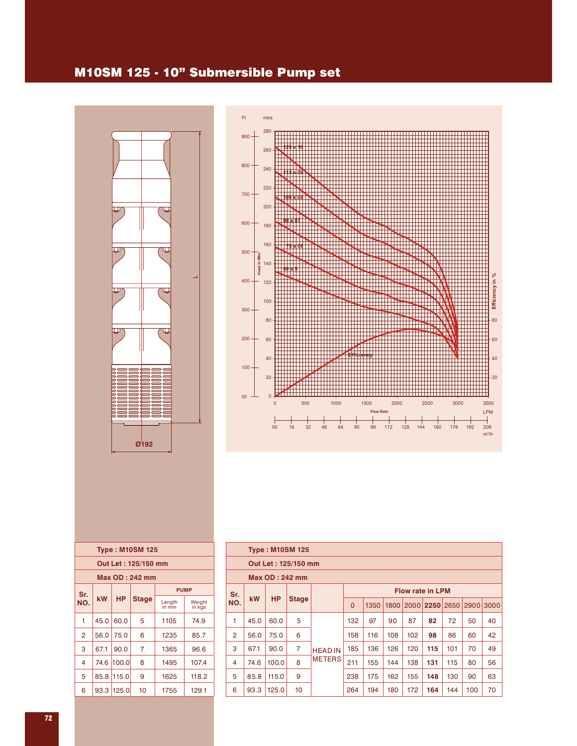### M10SM 125 - 10" Submersible Pump set





|                |      |            | <b>Type: M10SM 125</b> |                 |                  |
|----------------|------|------------|------------------------|-----------------|------------------|
|                |      |            | Out Let: 125/150 mm    |                 |                  |
|                |      |            | Max OD : 242 mm        |                 |                  |
| Sr.            |      |            |                        | <b>PUMP</b>     |                  |
| NO.            | kW   | <b>HP</b>  | Stage                  | Length<br>in mm | Weight<br>in kgs |
| 1              | 45.0 | 60.0       | 5                      | 1105            | 74.9             |
| $\overline{2}$ | 56.0 | 75.0       | 6                      | 1235            | 85.7             |
| 3              | 67.1 | 90.0       | 7                      | 1365            | 96.6             |
| 4              | 74.6 | 100.0      | 8                      | 1495            | 107.4            |
| 5              | 85.8 | 115.0      | 9                      | 1625            | 118.2            |
| 6              |      | 93.3 125.0 | 10                     | 1755            | 129.1            |

|                |      |           | <b>Type: M10SM 125</b> |                |          |      |      |     |                         |     |           |    |
|----------------|------|-----------|------------------------|----------------|----------|------|------|-----|-------------------------|-----|-----------|----|
|                |      |           | Out Let: 125/150 mm    |                |          |      |      |     |                         |     |           |    |
|                |      |           | Max OD: 242 mm         |                |          |      |      |     |                         |     |           |    |
| Sr.            |      |           |                        |                |          |      |      |     | <b>Flow rate in LPM</b> |     |           |    |
| NO.            | kW   | <b>HP</b> | <b>Stage</b>           |                | $\Omega$ | 1350 | 1800 |     | 2000 2250 2650          |     | 2900 3000 |    |
| 1              | 45.0 | 60.0      | 5                      |                | 132      | 97   | 90   | 87  | 82                      | 72  | 50        | 40 |
| $\overline{2}$ | 56.0 | 75.0      | 6                      |                | 158      | 116  | 108  | 102 | 98                      | 86  | 60        | 42 |
| 3              | 67.1 | 90.0      | $\overline{7}$         | <b>HEAD IN</b> | 185      | 136  | 126  | 120 | 115                     | 101 | 70        | 49 |
| 4              | 74.6 | 100.0     | 8                      | <b>METERS</b>  | 211      | 155  | 144  | 138 | 131                     | 115 | 80        | 56 |
| 5              | 85.8 | 115.0     | 9                      |                | 238      | 175  | 162  | 155 | 148                     | 130 | 90        | 63 |
| 6              | 93.3 | 125.0     | 10                     |                | 264      | 194  | 180  | 172 | 164                     | 144 | 100       | 70 |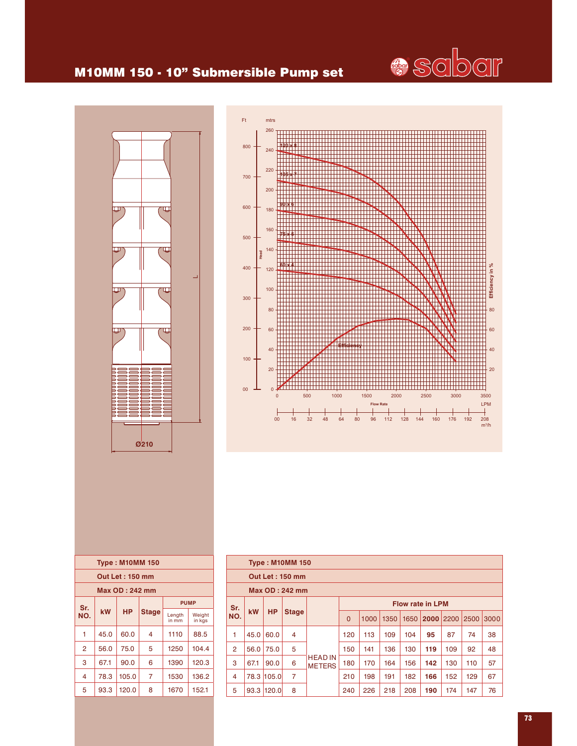

### M10MM 150 - 10" Submersible Pump set





|     |      | <b>Type: M10MM 150</b> |              |                 |                  |
|-----|------|------------------------|--------------|-----------------|------------------|
|     |      | <b>Out Let: 150 mm</b> |              |                 |                  |
|     |      | Max OD : 242 mm        |              |                 |                  |
| Sr. |      |                        |              | <b>PUMP</b>     |                  |
| NO. | kW   | <b>HP</b>              | <b>Stage</b> | Length<br>in mm | Weight<br>in kgs |
| 1   | 45.0 | 60.0                   | 4            | 1110            | 88.5             |
| 2   | 56.0 | 75.0                   | 5            | 1250            | 104.4            |
| 3   | 67.1 | 90.0                   | 6            | 1390            | 120.3            |
| 4   | 78.3 | 105.0                  | 7            | 1530            | 136.2            |
| 5   | 93.3 | 120.0                  | 8            | 1670            | 152.1            |
|     |      |                        |              |                 |                  |

|                |                         |           | <b>Type: M10MM 150</b> |                                 |                                                                  |     |     |     |     |     |     |    |
|----------------|-------------------------|-----------|------------------------|---------------------------------|------------------------------------------------------------------|-----|-----|-----|-----|-----|-----|----|
|                |                         |           | <b>Out Let: 150 mm</b> |                                 |                                                                  |     |     |     |     |     |     |    |
|                |                         |           | Max OD: 242 mm         |                                 |                                                                  |     |     |     |     |     |     |    |
| Sr.            | <b>Flow rate in LPM</b> |           |                        |                                 |                                                                  |     |     |     |     |     |     |    |
| NO.            | <b>kW</b>               | <b>HP</b> | <b>Stage</b>           |                                 | $\Omega$<br>1350<br>2200<br>2500<br>1000<br>1650<br>2000<br>3000 |     |     |     |     |     |     |    |
| 1              | 45.0                    | 60.0      | 4                      |                                 | 120                                                              | 113 | 109 | 104 | 95  | 87  | 74  | 38 |
| $\overline{2}$ | 56.0                    | 75.0      | 5                      |                                 | 150                                                              | 141 | 136 | 130 | 119 | 109 | 92  | 48 |
| 3              | 67.1                    | 90.0      | 6                      | <b>HEAD IN</b><br><b>METERS</b> | 180                                                              | 170 | 164 | 156 | 142 | 130 | 110 | 57 |
| 4              | 78.3                    | 105.0     | 7                      |                                 | 210                                                              | 198 | 191 | 182 | 166 | 152 | 129 | 67 |
| 5              | 93.3                    | 120.0     | 8                      |                                 | 240                                                              | 226 | 218 | 208 | 190 | 174 | 147 | 76 |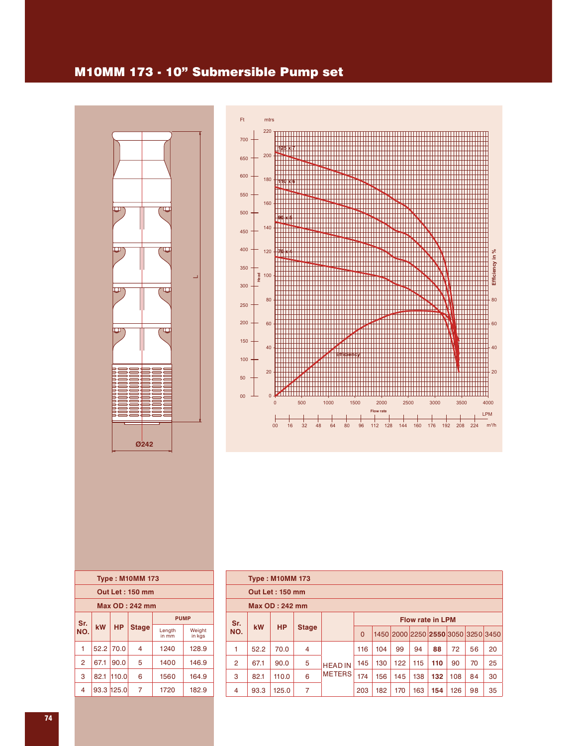### M10MM 173 - 10" Submersible Pump set





|                |                    |             | <b>Type: M10MM 173</b> |                 |                  |  |  |  |  |  |  |
|----------------|--------------------|-------------|------------------------|-----------------|------------------|--|--|--|--|--|--|
|                |                    |             | <b>Out Let: 150 mm</b> |                 |                  |  |  |  |  |  |  |
|                |                    |             | <b>Max OD: 242 mm</b>  |                 |                  |  |  |  |  |  |  |
|                | <b>PUMP</b><br>Sr. |             |                        |                 |                  |  |  |  |  |  |  |
| NO.            | kW                 | <b>HP</b>   | <b>Stage</b>           | Length<br>in mm | Weight<br>in kgs |  |  |  |  |  |  |
| 1              |                    | $52.2$ 70.0 | 4                      | 1240            | 128.9            |  |  |  |  |  |  |
| $\overline{2}$ | 67.1               | 90.0        | 5                      | 1400            | 146.9            |  |  |  |  |  |  |
| 3              | 82.1               | 110.0       | 6                      | 1560            | 164.9            |  |  |  |  |  |  |
| 4              |                    | 93.3 125.0  | 7                      | 1720            | 182.9            |  |  |  |  |  |  |
|                |                    |             |                        |                 |                  |  |  |  |  |  |  |

|     |                                                          | <b>Type: M10MM 173</b> |              |                |          |     |     |     |     |     |                                    |    |
|-----|----------------------------------------------------------|------------------------|--------------|----------------|----------|-----|-----|-----|-----|-----|------------------------------------|----|
|     |                                                          | <b>Out Let: 150 mm</b> |              |                |          |     |     |     |     |     |                                    |    |
|     |                                                          | Max OD: 242 mm         |              |                |          |     |     |     |     |     |                                    |    |
|     | <b>Flow rate in LPM</b><br>Sr.<br><b>HP</b><br><b>kW</b> |                        |              |                |          |     |     |     |     |     |                                    |    |
| NO. |                                                          |                        | <b>Stage</b> |                | $\Omega$ |     |     |     |     |     | 1450 2000 2250 2550 3050 3250 3450 |    |
| 1   | 52.2                                                     | 70.0                   | 4            |                | 116      | 104 | 99  | 94  | 88  | 72  | 56                                 | 20 |
| 2   | 67.1                                                     | 90.0                   | 5            | <b>HEAD IN</b> | 145      | 130 | 122 | 115 | 110 | 90  | 70                                 | 25 |
| 3   | 82.1                                                     | 110.0                  | 6            | <b>METERS</b>  | 174      | 156 | 145 | 138 | 132 | 108 | 84                                 | 30 |
| 4   | 93.3                                                     | 125.0                  | 7            |                | 203      | 182 | 170 | 163 | 154 | 126 | 98                                 | 35 |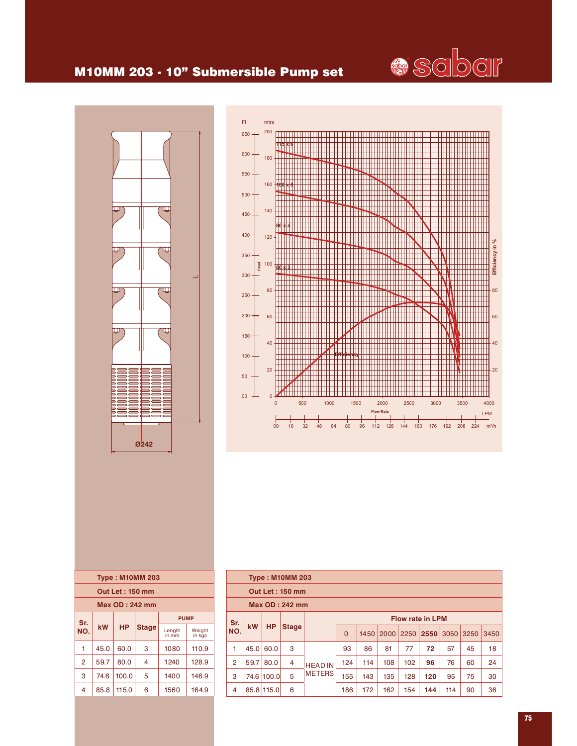

## M10MM 203 - 10" Submersible Pump set



| Ft              | mtrs                                                                                                      |
|-----------------|-----------------------------------------------------------------------------------------------------------|
| $650 -$         | 200                                                                                                       |
| $600 -$         | 180                                                                                                       |
| $550 -$         | 160                                                                                                       |
| $500 -$         |                                                                                                           |
| $450 -$         | 140                                                                                                       |
| $400 -$         | 120                                                                                                       |
| $350 -$<br>Head | Efficiency in %<br>100<br>6                                                                               |
| $300 -$         |                                                                                                           |
| $250 -$         | 80<br>80                                                                                                  |
| $200 -$         | 60<br>60                                                                                                  |
| $150 -$         | 40<br>40                                                                                                  |
| $100 -$         | 20<br>20                                                                                                  |
| 50              |                                                                                                           |
| 00              | $\overline{0}$<br>$\mathbf 0$<br>500<br>1000<br>1500<br>2000<br>2500<br>3000<br>3500<br>4000              |
|                 | <b>Flow Rate</b><br><b>LPM</b>                                                                            |
|                 | $m^3/h$<br>80<br>96<br>224<br>00<br>16<br>32<br>48<br>64<br>112<br>192<br>208<br>128<br>144<br>160<br>176 |

| <b>Type: M10MM 203</b> |      |           |              |                 |                  |  |  |  |  |  |
|------------------------|------|-----------|--------------|-----------------|------------------|--|--|--|--|--|
| <b>Out Let: 150 mm</b> |      |           |              |                 |                  |  |  |  |  |  |
| Max OD: 242 mm         |      |           |              |                 |                  |  |  |  |  |  |
| <b>PUMP</b><br>Sr.     |      |           |              |                 |                  |  |  |  |  |  |
| NO.                    | kW   | <b>HP</b> | <b>Stage</b> | Length<br>in mm | Weight<br>in kgs |  |  |  |  |  |
| 1                      | 45.0 | 60.0      | 3            | 1080            | 110.9            |  |  |  |  |  |
| $\overline{2}$         | 59.7 | 80.0      | 4            | 1240            | 128.9            |  |  |  |  |  |
| 3                      | 74.6 | 100.0     | 5            | 1400            | 146.9            |  |  |  |  |  |
| 4                      | 85.8 | 115.0     | 6            | 1560            | 164.9            |  |  |  |  |  |

|                       | <b>Type: M10MM 203</b>  |            |              |                |                |      |      |      |      |      |      |      |  |
|-----------------------|-------------------------|------------|--------------|----------------|----------------|------|------|------|------|------|------|------|--|
|                       | <b>Out Let: 150 mm</b>  |            |              |                |                |      |      |      |      |      |      |      |  |
| <b>Max OD: 242 mm</b> |                         |            |              |                |                |      |      |      |      |      |      |      |  |
| Sr.                   | <b>Flow rate in LPM</b> |            |              |                |                |      |      |      |      |      |      |      |  |
| NO.                   | <b>kW</b>               | <b>HP</b>  | <b>Stage</b> |                | $\overline{0}$ | 1450 | 2000 | 2250 | 2550 | 3050 | 3250 | 3450 |  |
| 1                     | 45.0                    | 60.0       | 3            |                | 93             | 86   | 81   | 77   | 72   | 57   | 45   | 18   |  |
| $\overline{2}$        | 59.7                    | 80.0       | 4            | <b>HEAD IN</b> | 124            | 114  | 108  | 102  | 96   | 76   | 60   | 24   |  |
| 3                     |                         | 74.6 100.0 | 5            | <b>METERS</b>  | 155            | 143  | 135  | 128  | 120  | 95   | 75   | 30   |  |
| 4                     |                         | 85.8 115.0 | 6            |                | 186            | 172  | 162  | 154  | 144  | 114  | 90   | 36   |  |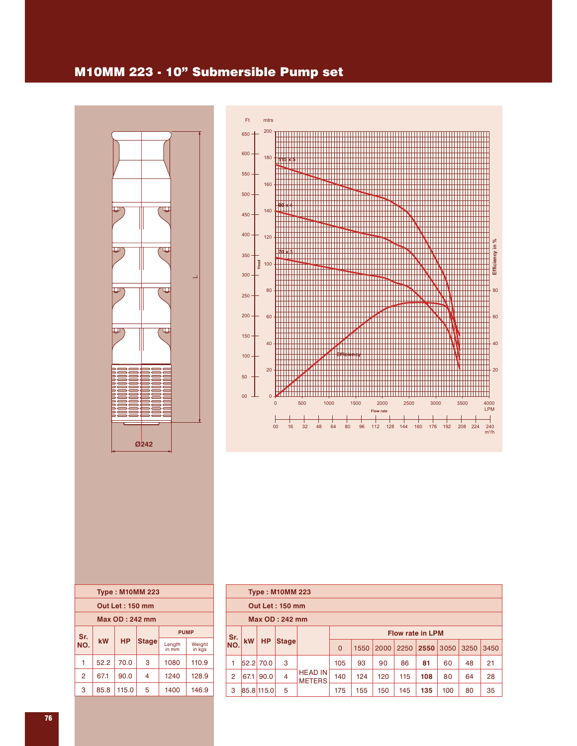### M10MM 223 - 10" Submersible Pump set





| <b>Type: M10MM 223</b> |      |           |              |                 |                  |  |  |  |  |  |  |
|------------------------|------|-----------|--------------|-----------------|------------------|--|--|--|--|--|--|
| <b>Out Let: 150 mm</b> |      |           |              |                 |                  |  |  |  |  |  |  |
| Max OD: 242 mm         |      |           |              |                 |                  |  |  |  |  |  |  |
| Sr.                    |      |           |              | <b>PUMP</b>     |                  |  |  |  |  |  |  |
| NO.                    | kW   | <b>HP</b> | <b>Stage</b> | Length<br>in mm | Weight<br>in kgs |  |  |  |  |  |  |
| 1                      | 52.2 | 70.0      | 3            | 1080            | 110.9            |  |  |  |  |  |  |
| $\overline{2}$         | 67.1 | 90.0      | 4            | 1240            | 128.9            |  |  |  |  |  |  |
| 3                      | 85.8 | 115.0     | 5            | 1400            | 146.9            |  |  |  |  |  |  |
|                        |      |           |              |                 |                  |  |  |  |  |  |  |

|                                | <b>Type: M10MM 223</b> |            |       |                                 |          |      |      |      |      |      |      |      |  |  |
|--------------------------------|------------------------|------------|-------|---------------------------------|----------|------|------|------|------|------|------|------|--|--|
| <b>Out Let: 150 mm</b>         |                        |            |       |                                 |          |      |      |      |      |      |      |      |  |  |
| <b>Max OD: 242 mm</b>          |                        |            |       |                                 |          |      |      |      |      |      |      |      |  |  |
| <b>Flow rate in LPM</b><br>Sr. |                        |            |       |                                 |          |      |      |      |      |      |      |      |  |  |
| NO.                            | <b>kW</b>              | <b>HP</b>  | Stage |                                 | $\Omega$ | 1550 | 2000 | 2250 | 2550 | 3050 | 3250 | 3450 |  |  |
| 1                              |                        | 52.2 70.0  | 3     |                                 | 105      | 93   | 90   | 86   | 81   | 60   | 48   | 21   |  |  |
| $\overline{2}$                 | 67.1                   | 90.0       | 4     | <b>HEAD IN</b><br><b>METERS</b> | 140      | 124  | 120  | 115  | 108  | 80   | 64   | 28   |  |  |
| 3                              |                        | 85.8 115.0 | 5     |                                 | 175      | 155  | 150  | 145  | 135  | 100  | 80   | 35   |  |  |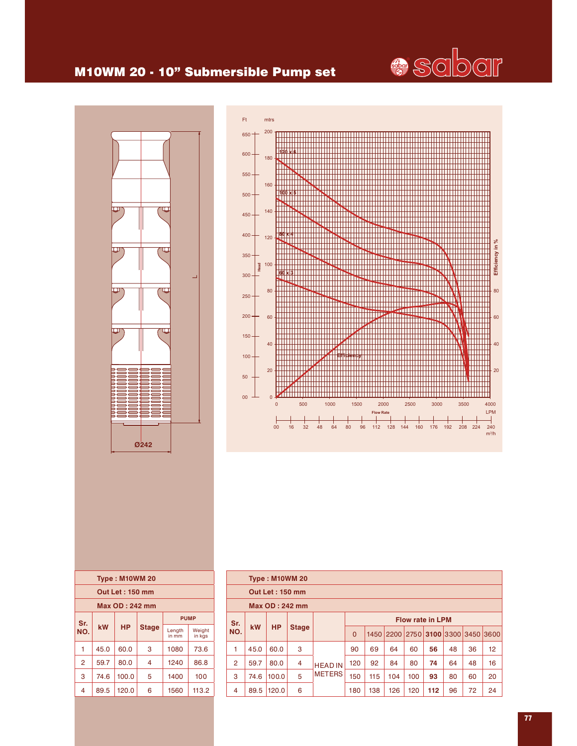## M10WM 20 - 10" Submersible Pump set





| <b>Type: M10WM 20</b>  |                 |           |              |                 |                  |  |  |  |  |  |  |
|------------------------|-----------------|-----------|--------------|-----------------|------------------|--|--|--|--|--|--|
| <b>Out Let: 150 mm</b> |                 |           |              |                 |                  |  |  |  |  |  |  |
|                        | Max OD : 242 mm |           |              |                 |                  |  |  |  |  |  |  |
| Sr.                    |                 |           |              |                 | <b>PUMP</b>      |  |  |  |  |  |  |
| NO.                    | kW              | <b>HP</b> | <b>Stage</b> | Length<br>in mm | Weight<br>in kgs |  |  |  |  |  |  |
| 1                      | 45.0            | 60.0      | 3            | 1080            | 73.6             |  |  |  |  |  |  |
| $\overline{2}$         | 59.7            | 80.0      | 4            | 1240            | 86.8             |  |  |  |  |  |  |
| 3                      | 74.6            | 100.0     | 5            | 1400            | 100              |  |  |  |  |  |  |
| 4                      | 89.5            | 120.0     | 6            | 1560            | 113.2            |  |  |  |  |  |  |

|                | <b>Type: M10WM 20</b>  |           |              |                |          |      |     |                         |     |           |      |      |  |
|----------------|------------------------|-----------|--------------|----------------|----------|------|-----|-------------------------|-----|-----------|------|------|--|
|                | <b>Out Let: 150 mm</b> |           |              |                |          |      |     |                         |     |           |      |      |  |
| Max OD: 242 mm |                        |           |              |                |          |      |     |                         |     |           |      |      |  |
| Sr.            |                        |           |              |                |          |      |     | <b>Flow rate in LPM</b> |     |           |      |      |  |
| NO.            | <b>kW</b>              | <b>HP</b> | <b>Stage</b> |                | $\Omega$ | 1450 |     | 2200 2750               |     | 3100 3300 | 3450 | 3600 |  |
| 1              | 45.0                   | 60.0      | 3            |                | 90       | 69   | 64  | 60                      | 56  | 48        | 36   | 12   |  |
| 2              | 59.7                   | 80.0      | 4            | <b>HEAD IN</b> | 120      | 92   | 84  | 80                      | 74  | 64        | 48   | 16   |  |
| 3              | 74.6                   | 100.0     | 5            | <b>METERS</b>  | 150      | 115  | 104 | 100                     | 93  | 80        | 60   | 20   |  |
| 4              | 89.5                   | 120.0     | 6            |                | 180      | 138  | 126 | 120                     | 112 | 96        | 72   | 24   |  |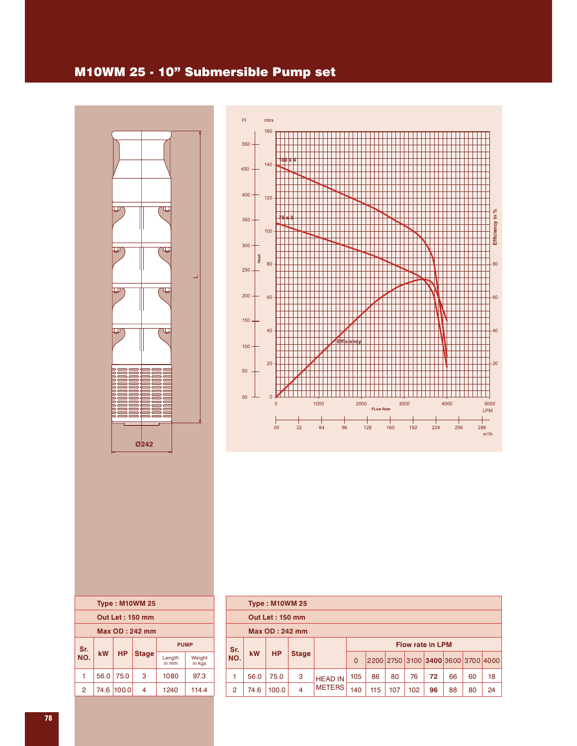### M10WM 25 - 10" Submersible Pump set





| <b>Type: M10WM 25</b>  |      |           |              |                 |                  |  |  |  |  |  |  |
|------------------------|------|-----------|--------------|-----------------|------------------|--|--|--|--|--|--|
| <b>Out Let: 150 mm</b> |      |           |              |                 |                  |  |  |  |  |  |  |
| Max OD: 242 mm         |      |           |              |                 |                  |  |  |  |  |  |  |
| <b>PUMP</b><br>Sr.     |      |           |              |                 |                  |  |  |  |  |  |  |
| NO.                    | kW   | <b>HP</b> | <b>Stage</b> | Length<br>in mm | Weight<br>in kas |  |  |  |  |  |  |
|                        |      |           |              |                 |                  |  |  |  |  |  |  |
| 1                      | 56.0 | 75.0      | 3            | 1080            | 97.3             |  |  |  |  |  |  |
|                        |      |           |              |                 |                  |  |  |  |  |  |  |

|                | <b>Type: M10WM 25</b>  |           |              |                |                         |     |     |     |                                    |    |    |    |  |
|----------------|------------------------|-----------|--------------|----------------|-------------------------|-----|-----|-----|------------------------------------|----|----|----|--|
|                | <b>Out Let: 150 mm</b> |           |              |                |                         |     |     |     |                                    |    |    |    |  |
| Max OD: 242 mm |                        |           |              |                |                         |     |     |     |                                    |    |    |    |  |
| Sr.            |                        |           |              |                | <b>Flow rate in LPM</b> |     |     |     |                                    |    |    |    |  |
| NO.            | <b>kW</b>              | <b>HP</b> | <b>Stage</b> |                | $\Omega$                |     |     |     | 2200 2750 3100 3400 3600 3700 4000 |    |    |    |  |
| 1              | 56.0                   | 75.0      | 3            | <b>HEAD IN</b> | 105                     | 86  | 80  | 76  | 72                                 | 66 | 60 | 18 |  |
| $\overline{2}$ | 74.6                   | 100.0     | 4            | <b>METERS</b>  | 140                     | 115 | 107 | 102 | 96                                 | 88 | 80 | 24 |  |